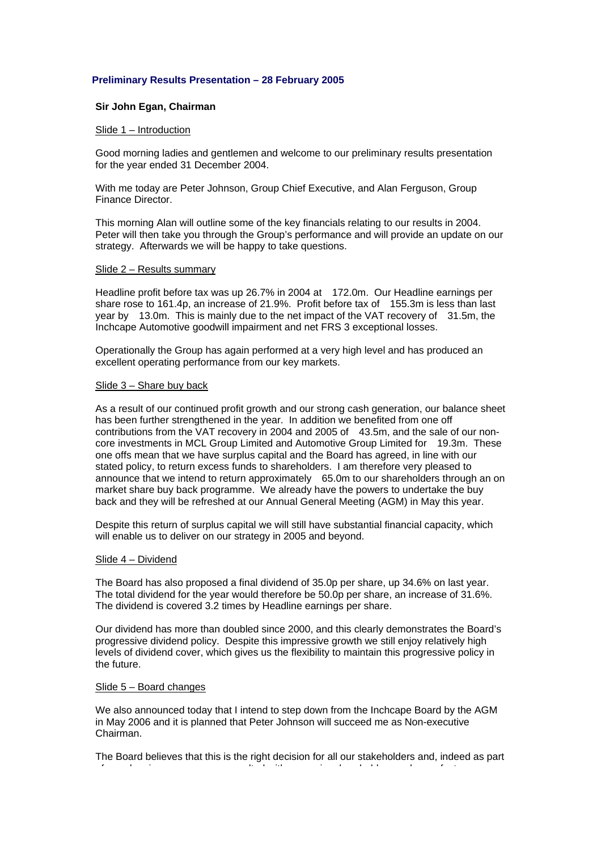# **Preliminary Results Presentation – 28 February 2005**

## **Sir John Egan, Chairman**

#### Slide 1 – Introduction

Good morning ladies and gentlemen and welcome to our preliminary results presentation for the year ended 31 December 2004.

With me today are Peter Johnson, Group Chief Executive, and Alan Ferguson, Group Finance Director.

This morning Alan will outline some of the key financials relating to our results in 2004. Peter will then take you through the Group's performance and will provide an update on our strategy. Afterwards we will be happy to take questions.

## Slide 2 - Results summary

Headline profit before tax was up 26.7% in 2004 at 172.0m. Our Headline earnings per share rose to 161.4p, an increase of 21.9%. Profit before tax of 155.3m is less than last year by 13.0m. This is mainly due to the net impact of the VAT recovery of 31.5m, the Inchcape Automotive goodwill impairment and net FRS 3 exceptional losses.

Operationally the Group has again performed at a very high level and has produced an excellent operating performance from our key markets.

## Slide 3 – Share buy back

As a result of our continued profit growth and our strong cash generation, our balance sheet has been further strengthened in the year. In addition we benefited from one off contributions from the VAT recovery in 2004 and 2005 of 43.5m, and the sale of our noncore investments in MCL Group Limited and Automotive Group Limited for 19.3m. These one offs mean that we have surplus capital and the Board has agreed, in line with our stated policy, to return excess funds to shareholders. I am therefore very pleased to announce that we intend to return approximately 65.0m to our shareholders through an on market share buy back programme. We already have the powers to undertake the buy back and they will be refreshed at our Annual General Meeting (AGM) in May this year.

Despite this return of surplus capital we will still have substantial financial capacity, which will enable us to deliver on our strategy in 2005 and beyond.

## Slide 4 – Dividend

The Board has also proposed a final dividend of 35.0p per share, up 34.6% on last year. The total dividend for the year would therefore be 50.0p per share, an increase of 31.6%. The dividend is covered 3.2 times by Headline earnings per share.

Our dividend has more than doubled since 2000, and this clearly demonstrates the Board's progressive dividend policy. Despite this impressive growth we still enjoy relatively high levels of dividend cover, which gives us the flexibility to maintain this progressive policy in the future.

#### Slide 5 – Board changes

We also announced today that I intend to step down from the Inchcape Board by the AGM in May 2006 and it is planned that Peter Johnson will succeed me as Non-executive Chairman.

The Board believes that this is the right decision for all our stakeholders and, indeed as part

f l'air de l'air de l'air de l'air de l'air de l'air de l'air de l'air de l'air de l'air de l'air de l'air de<br>L'air de l'air de l'air de l'air de l'air de l'air de l'air de l'air de l'air de l'air de l'air de l'air de l'